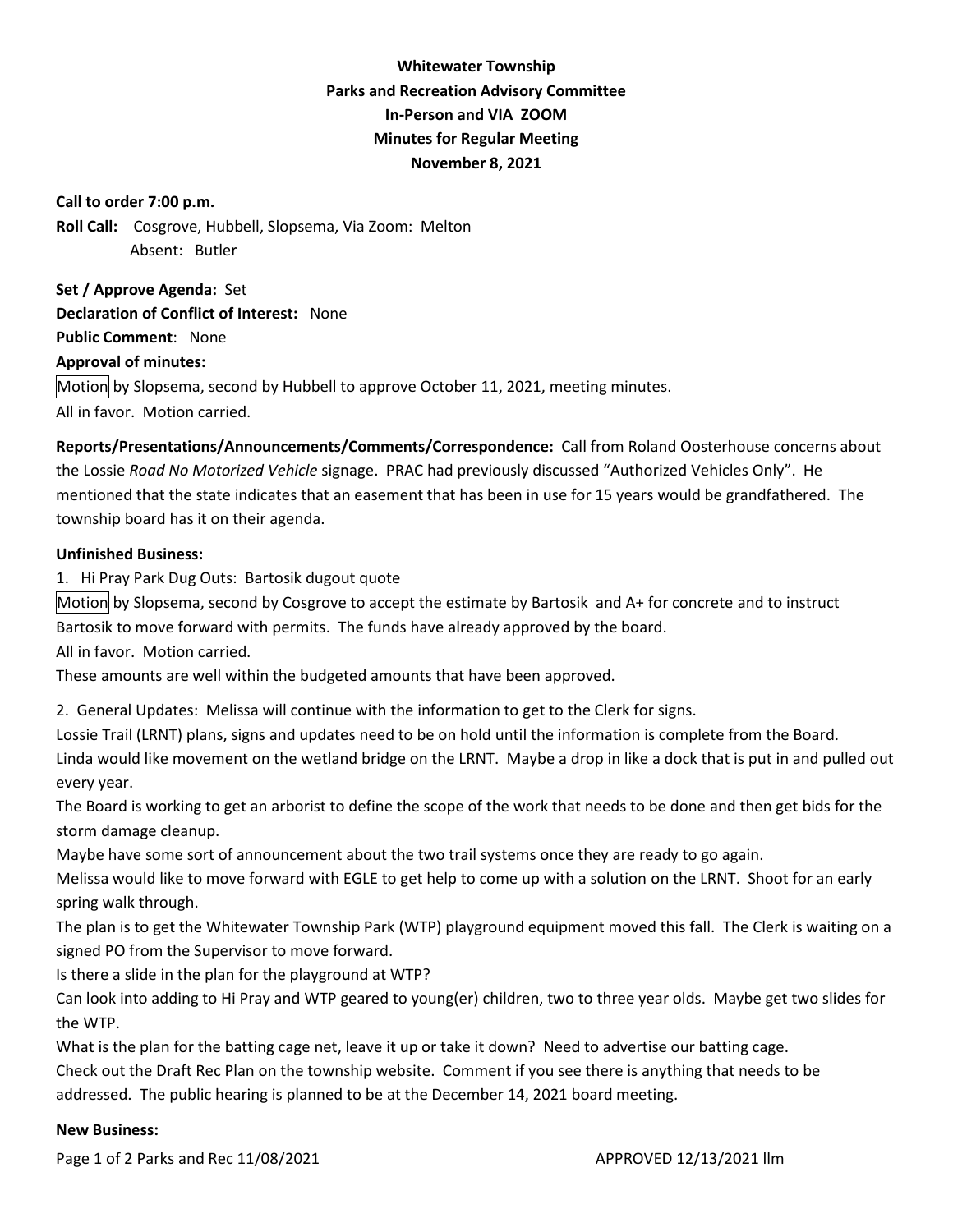# **Whitewater Township Parks and Recreation Advisory Committee In-Person and VIA ZOOM Minutes for Regular Meeting November 8, 2021**

#### **Call to order 7:00 p.m.**

**Roll Call:** Cosgrove, Hubbell, Slopsema, Via Zoom: Melton Absent: Butler

**Set / Approve Agenda:** Set **Declaration of Conflict of Interest:** None **Public Comment**: None **Approval of minutes:**  Motion by Slopsema, second by Hubbell to approve October 11, 2021, meeting minutes. All in favor. Motion carried.

**Reports/Presentations/Announcements/Comments/Correspondence:** Call from Roland Oosterhouse concerns about the Lossie *Road No Motorized Vehicle* signage. PRAC had previously discussed "Authorized Vehicles Only". He mentioned that the state indicates that an easement that has been in use for 15 years would be grandfathered. The township board has it on their agenda.

## **Unfinished Business:**

1. Hi Pray Park Dug Outs: Bartosik dugout quote

Motion by Slopsema, second by Cosgrove to accept the estimate by Bartosik and A+ for concrete and to instruct Bartosik to move forward with permits. The funds have already approved by the board.

All in favor. Motion carried.

These amounts are well within the budgeted amounts that have been approved.

2. General Updates: Melissa will continue with the information to get to the Clerk for signs.

Lossie Trail (LRNT) plans, signs and updates need to be on hold until the information is complete from the Board. Linda would like movement on the wetland bridge on the LRNT. Maybe a drop in like a dock that is put in and pulled out every year.

The Board is working to get an arborist to define the scope of the work that needs to be done and then get bids for the storm damage cleanup.

Maybe have some sort of announcement about the two trail systems once they are ready to go again.

Melissa would like to move forward with EGLE to get help to come up with a solution on the LRNT. Shoot for an early spring walk through.

The plan is to get the Whitewater Township Park (WTP) playground equipment moved this fall. The Clerk is waiting on a signed PO from the Supervisor to move forward.

Is there a slide in the plan for the playground at WTP?

Can look into adding to Hi Pray and WTP geared to young(er) children, two to three year olds. Maybe get two slides for the WTP.

What is the plan for the batting cage net, leave it up or take it down? Need to advertise our batting cage.

Check out the Draft Rec Plan on the township website. Comment if you see there is anything that needs to be addressed. The public hearing is planned to be at the December 14, 2021 board meeting.

#### **New Business:**

Page 1 of 2 Parks and Rec 11/08/2021 **APPROVED 12/13/2021** Ilm